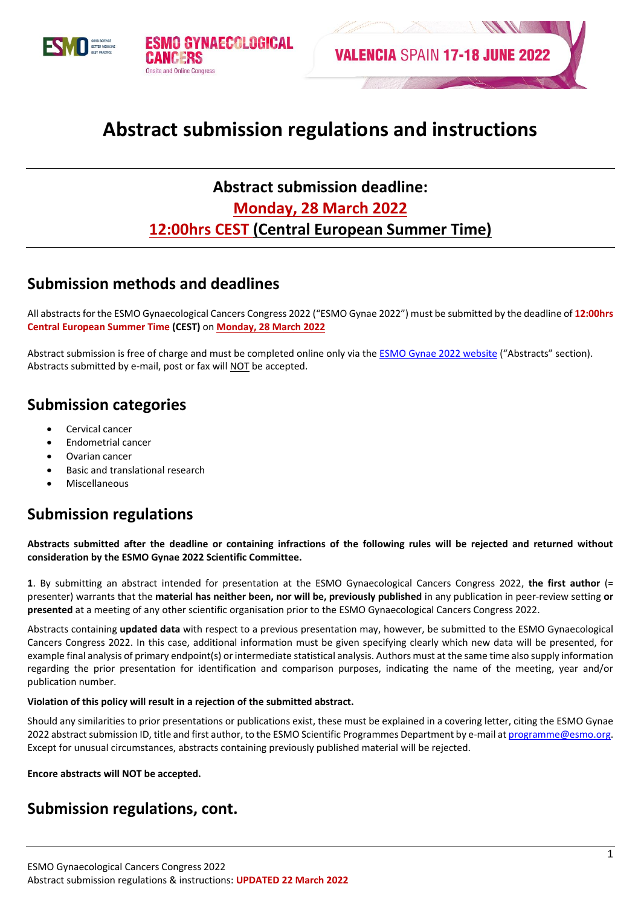



# **Abstract submission regulations and instructions**

# **Abstract submission deadline: Monday, 28 March 2022 12:00hrs CEST (Central European Summer Time)**

### **Submission methods and deadlines**

All abstracts for the ESMO Gynaecological Cancers Congress 2022 ("ESMO Gynae 2022") must be submitted by the deadline of **12:00hrs Central European Summer Time (CEST)** on **Monday, 28 March 2022**

Abstract submission is free of charge and must be completed online only via th[e ESMO Gynae 2022 website](https://www.esmo.org/meetings/esmo-gynaecological-cancers-congress-2022/abstracts) ("Abstracts" section). Abstracts submitted by e-mail, post or fax will NOT be accepted.

### **Submission categories**

- Cervical cancer
- Endometrial cancer
- Ovarian cancer
- Basic and translational research
- Miscellaneous

### **Submission regulations**

**Abstracts submitted after the deadline or containing infractions of the following rules will be rejected and returned without consideration by the ESMO Gynae 2022 Scientific Committee.**

**1**. By submitting an abstract intended for presentation at the ESMO Gynaecological Cancers Congress 2022, **the first author** (= presenter) warrants that the **material has neither been, nor will be, previously published** in any publication in peer-review setting **or presented** at a meeting of any other scientific organisation prior to the ESMO Gynaecological Cancers Congress 2022.

Abstracts containing **updated data** with respect to a previous presentation may, however, be submitted to the ESMO Gynaecological Cancers Congress 2022. In this case, additional information must be given specifying clearly which new data will be presented, for example final analysis of primary endpoint(s) or intermediate statistical analysis. Authors must at the same time also supply information regarding the prior presentation for identification and comparison purposes, indicating the name of the meeting, year and/or publication number.

#### **Violation of this policy will result in a rejection of the submitted abstract.**

Should any similarities to prior presentations or publications exist, these must be explained in a covering letter, citing the ESMO Gynae 2022 abstract submission ID, title and first author, to the ESMO Scientific Programmes Department by e-mail at programme@esmo.org. Except for unusual circumstances, abstracts containing previously published material will be rejected.

**Encore abstracts will NOT be accepted.**

### **Submission regulations, cont.**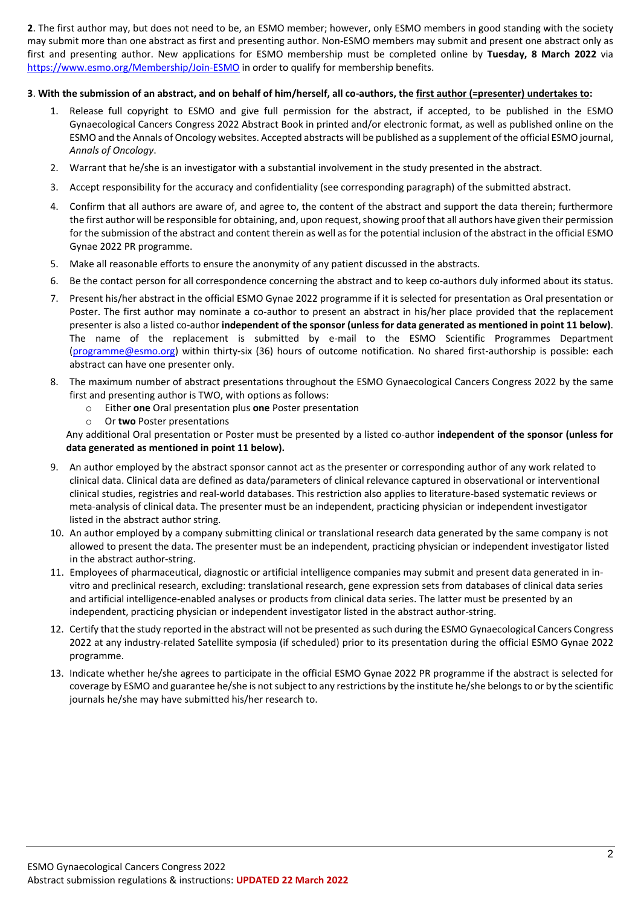**2**. The first author may, but does not need to be, an ESMO member; however, only ESMO members in good standing with the society may submit more than one abstract as first and presenting author. Non-ESMO members may submit and present one abstract only as first and presenting author. New applications for ESMO membership must be completed online by **Tuesday, 8 March 2022** via <https://www.esmo.org/Membership/Join-ESMO> in order to qualify for membership benefits.

#### **3**. **With the submission of an abstract, and on behalf of him/herself, all co-authors, the first author (=presenter) undertakes to:**

- 1. Release full copyright to ESMO and give full permission for the abstract, if accepted, to be published in the ESMO Gynaecological Cancers Congress 2022 Abstract Book in printed and/or electronic format, as well as published online on the ESMO and the Annals of Oncology websites. Accepted abstracts will be published as a supplement of the official ESMO journal, *Annals of Oncology*.
- 2. Warrant that he/she is an investigator with a substantial involvement in the study presented in the abstract.
- 3. Accept responsibility for the accuracy and confidentiality (see corresponding paragraph) of the submitted abstract.
- 4. Confirm that all authors are aware of, and agree to, the content of the abstract and support the data therein; furthermore the first author will be responsible for obtaining, and, upon request, showing proof that all authors have given their permission for the submission of the abstract and content therein as well as for the potential inclusion of the abstract in the official ESMO Gynae 2022 PR programme.
- 5. Make all reasonable efforts to ensure the anonymity of any patient discussed in the abstracts.
- 6. Be the contact person for all correspondence concerning the abstract and to keep co-authors duly informed about its status.
- 7. Present his/her abstract in the official ESMO Gynae 2022 programme if it is selected for presentation as Oral presentation or Poster. The first author may nominate a co-author to present an abstract in his/her place provided that the replacement presenter is also a listed co-author **independent of the sponsor (unless for data generated as mentioned in point 11 below)**. The name of the replacement is submitted by e-mail to the ESMO Scientific Programmes Department [\(programme@esmo.org\)](mailto:programme@esmo.org) within thirty-six (36) hours of outcome notification. No shared first-authorship is possible: each abstract can have one presenter only.
- 8. The maximum number of abstract presentations throughout the ESMO Gynaecological Cancers Congress 2022 by the same first and presenting author is TWO, with options as follows:
	- o Either **one** Oral presentation plus **one** Poster presentation
	- o Or **two** Poster presentations

Any additional Oral presentation or Poster must be presented by a listed co-author **independent of the sponsor (unless for data generated as mentioned in point 11 below).**

- 9. An author employed by the abstract sponsor cannot act as the presenter or corresponding author of any work related to clinical data. Clinical data are defined as data/parameters of clinical relevance captured in observational or interventional clinical studies, registries and real-world databases. This restriction also applies to literature-based systematic reviews or meta-analysis of clinical data. The presenter must be an independent, practicing physician or independent investigator listed in the abstract author string.
- 10. An author employed by a company submitting clinical or translational research data generated by the same company is not allowed to present the data. The presenter must be an independent, practicing physician or independent investigator listed in the abstract author-string.
- 11. Employees of pharmaceutical, diagnostic or artificial intelligence companies may submit and present data generated in invitro and preclinical research, excluding: translational research, gene expression sets from databases of clinical data series and artificial intelligence-enabled analyses or products from clinical data series. The latter must be presented by an independent, practicing physician or independent investigator listed in the abstract author-string.
- 12. Certify that the study reported in the abstract will not be presented as such during the ESMO Gynaecological Cancers Congress 2022 at any industry-related Satellite symposia (if scheduled) prior to its presentation during the official ESMO Gynae 2022 programme.
- 13. Indicate whether he/she agrees to participate in the official ESMO Gynae 2022 PR programme if the abstract is selected for coverage by ESMO and guarantee he/she is not subject to any restrictions by the institute he/she belongs to or by the scientific journals he/she may have submitted his/her research to.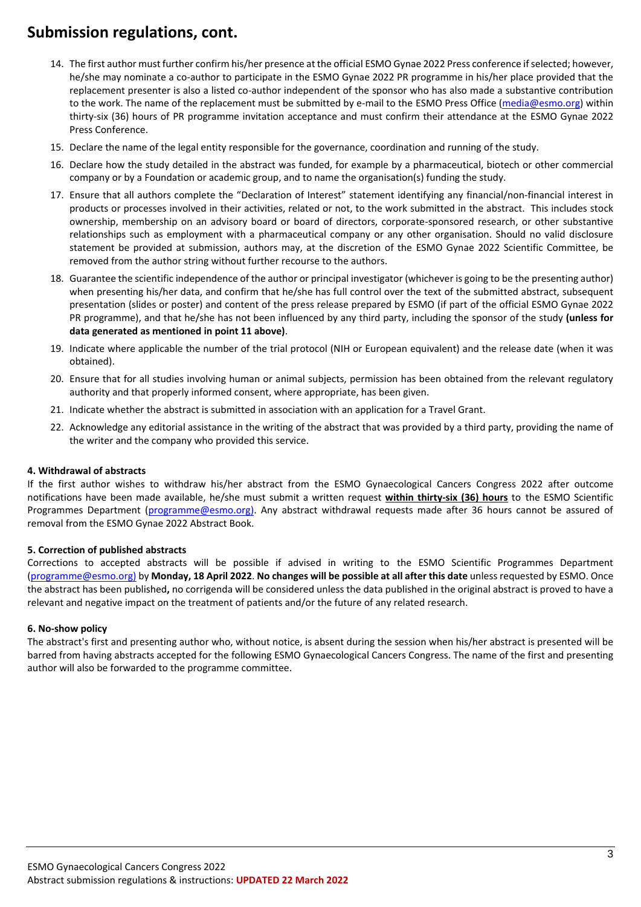### **Submission regulations, cont.**

- 14. The first author must further confirm his/her presence at the official ESMO Gynae 2022 Press conference if selected; however, he/she may nominate a co-author to participate in the ESMO Gynae 2022 PR programme in his/her place provided that the replacement presenter is also a listed co-author independent of the sponsor who has also made a substantive contribution to the work. The name of the replacement must be submitted by e-mail to the ESMO Press Office [\(media@esmo.org\)](mailto:media@esmo.org) within thirty-six (36) hours of PR programme invitation acceptance and must confirm their attendance at the ESMO Gynae 2022 Press Conference.
- 15. Declare the name of the legal entity responsible for the governance, coordination and running of the study.
- 16. Declare how the study detailed in the abstract was funded, for example by a pharmaceutical, biotech or other commercial company or by a Foundation or academic group, and to name the organisation(s) funding the study.
- 17. Ensure that all authors complete the "Declaration of Interest" statement identifying any financial/non-financial interest in products or processes involved in their activities, related or not, to the work submitted in the abstract. This includes stock ownership, membership on an advisory board or board of directors, corporate-sponsored research, or other substantive relationships such as employment with a pharmaceutical company or any other organisation. Should no valid disclosure statement be provided at submission, authors may, at the discretion of the ESMO Gynae 2022 Scientific Committee, be removed from the author string without further recourse to the authors.
- 18. Guarantee the scientific independence of the author or principal investigator (whichever is going to be the presenting author) when presenting his/her data, and confirm that he/she has full control over the text of the submitted abstract, subsequent presentation (slides or poster) and content of the press release prepared by ESMO (if part of the official ESMO Gynae 2022 PR programme), and that he/she has not been influenced by any third party, including the sponsor of the study **(unless for data generated as mentioned in point 11 above)**.
- 19. Indicate where applicable the number of the trial protocol (NIH or European equivalent) and the release date (when it was obtained).
- 20. Ensure that for all studies involving human or animal subjects, permission has been obtained from the relevant regulatory authority and that properly informed consent, where appropriate, has been given.
- 21. Indicate whether the abstract is submitted in association with an application for a Travel Grant.
- 22. Acknowledge any editorial assistance in the writing of the abstract that was provided by a third party, providing the name of the writer and the company who provided this service.

#### **4. Withdrawal of abstracts**

If the first author wishes to withdraw his/her abstract from the ESMO Gynaecological Cancers Congress 2022 after outcome notifications have been made available, he/she must submit a written request **within thirty-six (36) hours** to the ESMO Scientific Programmes Department [\(programme@esmo.org\)](mailto:programme@esmo.org). Any abstract withdrawal requests made after 36 hours cannot be assured of removal from the ESMO Gynae 2022 Abstract Book.

#### **5. Correction of published abstracts**

Corrections to accepted abstracts will be possible if advised in writing to the ESMO Scientific Programmes Department [\(programme@esmo.org\)](mailto:programme@esmo.org) by **Monday, 18 April 2022**. **No changes will be possible at all after this date** unless requested by ESMO. Once the abstract has been published**,** no corrigenda will be considered unless the data published in the original abstract is proved to have a relevant and negative impact on the treatment of patients and/or the future of any related research.

#### **6. No-show policy**

The abstract's first and presenting author who, without notice, is absent during the session when his/her abstract is presented will be barred from having abstracts accepted for the following ESMO Gynaecological Cancers Congress. The name of the first and presenting author will also be forwarded to the programme committee.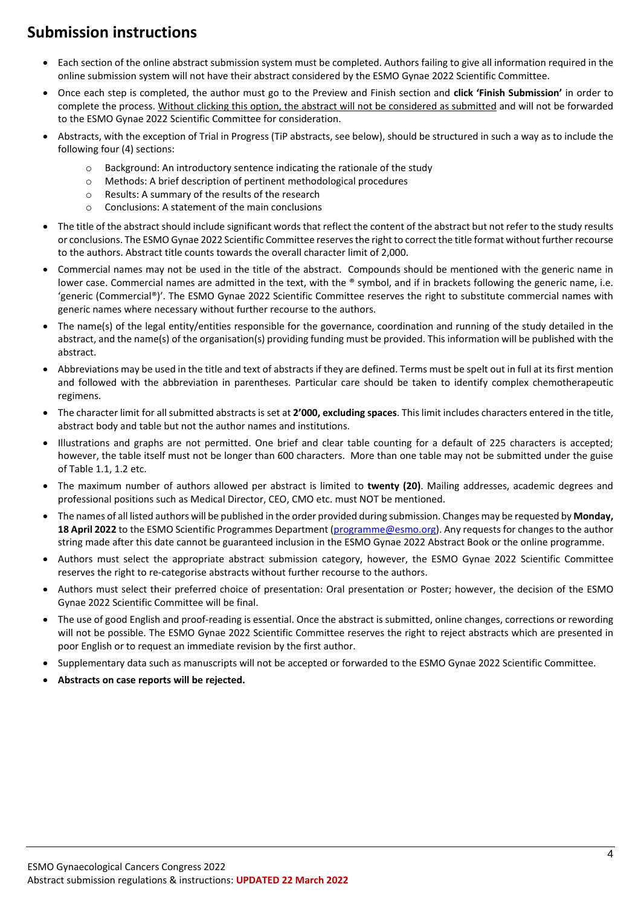## **Submission instructions**

- Each section of the online abstract submission system must be completed. Authors failing to give all information required in the online submission system will not have their abstract considered by the ESMO Gynae 2022 Scientific Committee.
- Once each step is completed, the author must go to the Preview and Finish section and **click 'Finish Submission'** in order to complete the process. Without clicking this option, the abstract will not be considered as submitted and will not be forwarded to the ESMO Gynae 2022 Scientific Committee for consideration.
- Abstracts, with the exception of Trial in Progress (TiP abstracts, see below), should be structured in such a way as to include the following four (4) sections:
	- $\circ$  Background: An introductory sentence indicating the rationale of the study
	- o Methods: A brief description of pertinent methodological procedures
	- o Results: A summary of the results of the research
	- o Conclusions: A statement of the main conclusions
- The title of the abstract should include significant words that reflect the content of the abstract but not refer to the study results or conclusions. The ESMO Gynae 2022 Scientific Committee reserves the right to correct the title format without further recourse to the authors. Abstract title counts towards the overall character limit of 2,000.
- Commercial names may not be used in the title of the abstract. Compounds should be mentioned with the generic name in lower case. Commercial names are admitted in the text, with the ® symbol, and if in brackets following the generic name, i.e. 'generic (Commercial®)'. The ESMO Gynae 2022 Scientific Committee reserves the right to substitute commercial names with generic names where necessary without further recourse to the authors.
- The name(s) of the legal entity/entities responsible for the governance, coordination and running of the study detailed in the abstract, and the name(s) of the organisation(s) providing funding must be provided. This information will be published with the abstract.
- Abbreviations may be used in the title and text of abstracts if they are defined. Terms must be spelt out in full at its first mention and followed with the abbreviation in parentheses. Particular care should be taken to identify complex chemotherapeutic regimens.
- The character limit for all submitted abstracts is set at **2'000, excluding spaces**. This limit includes characters entered in the title, abstract body and table but not the author names and institutions.
- Illustrations and graphs are not permitted. One brief and clear table counting for a default of 225 characters is accepted; however, the table itself must not be longer than 600 characters. More than one table may not be submitted under the guise of Table 1.1, 1.2 etc.
- The maximum number of authors allowed per abstract is limited to **twenty (20)**. Mailing addresses, academic degrees and professional positions such as Medical Director, CEO, CMO etc. must NOT be mentioned.
- The names of all listed authors will be published in the order provided during submission. Changes may be requested by **Monday, 18 April 2022** to the ESMO Scientific Programmes Department [\(programme@esmo.org\)](mailto:programme@esmo.org). Any requests for changes to the author string made after this date cannot be guaranteed inclusion in the ESMO Gynae 2022 Abstract Book or the online programme.
- Authors must select the appropriate abstract submission category, however, the ESMO Gynae 2022 Scientific Committee reserves the right to re-categorise abstracts without further recourse to the authors.
- Authors must select their preferred choice of presentation: Oral presentation or Poster; however, the decision of the ESMO Gynae 2022 Scientific Committee will be final.
- The use of good English and proof-reading is essential. Once the abstract is submitted, online changes, corrections or rewording will not be possible. The ESMO Gynae 2022 Scientific Committee reserves the right to reject abstracts which are presented in poor English or to request an immediate revision by the first author.
- Supplementary data such as manuscripts will not be accepted or forwarded to the ESMO Gynae 2022 Scientific Committee.
- **Abstracts on case reports will be rejected.**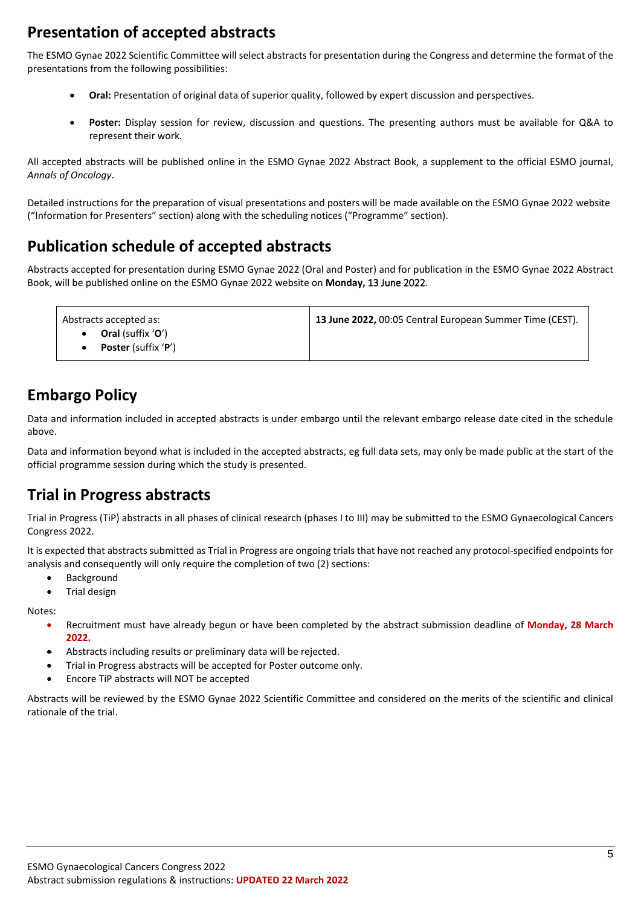## **Presentation of accepted abstracts**

The ESMO Gynae 2022 Scientific Committee will select abstracts for presentation during the Congress and determine the format of the presentations from the following possibilities:

- **Oral:** Presentation of original data of superior quality, followed by expert discussion and perspectives.
- **Poster:** Display session for review, discussion and questions. The presenting authors must be available for Q&A to represent their work.

All accepted abstracts will be published online in the ESMO Gynae 2022 Abstract Book, a supplement to the official ESMO journal, *Annals of Oncology*.

Detailed instructions for the preparation of visual presentations and posters will be made available on the ESMO Gynae 2022 website ("Information for Presenters" section) along with the scheduling notices ("Programme" section).

## **Publication schedule of accepted abstracts**

Abstracts accepted for presentation during ESMO Gynae 2022 (Oral and Poster) and for publication in the ESMO Gynae 2022 Abstract Book, will be published online on the ESMO Gynae 2022 website on **Monday,** 13 June 2022.

| Abstracts accepted as:                                                   | 13 June 2022, 00:05 Central European Summer Time (CEST). |
|--------------------------------------------------------------------------|----------------------------------------------------------|
| <b>Oral</b> (suffix ' <b>O</b> ')<br><b>Poster</b> (suffix ' <b>P</b> ') |                                                          |

## **Embargo Policy**

Data and information included in accepted abstracts is under embargo until the relevant embargo release date cited in the schedule above.

Data and information beyond what is included in the accepted abstracts, eg full data sets, may only be made public at the start of the official programme session during which the study is presented.

### **Trial in Progress abstracts**

Trial in Progress (TiP) abstracts in all phases of clinical research (phases I to III) may be submitted to the ESMO Gynaecological Cancers Congress 2022.

It is expected that abstracts submitted as Trial in Progress are ongoing trials that have not reached any protocol-specified endpoints for analysis and consequently will only require the completion of two (2) sections:

- Background
- Trial design

Notes:

- Recruitment must have already begun or have been completed by the abstract submission deadline of **Monday, 28 March 2022.**
- Abstracts including results or preliminary data will be rejected.
- Trial in Progress abstracts will be accepted for Poster outcome only.
- Encore TiP abstracts will NOT be accepted

Abstracts will be reviewed by the ESMO Gynae 2022 Scientific Committee and considered on the merits of the scientific and clinical rationale of the trial.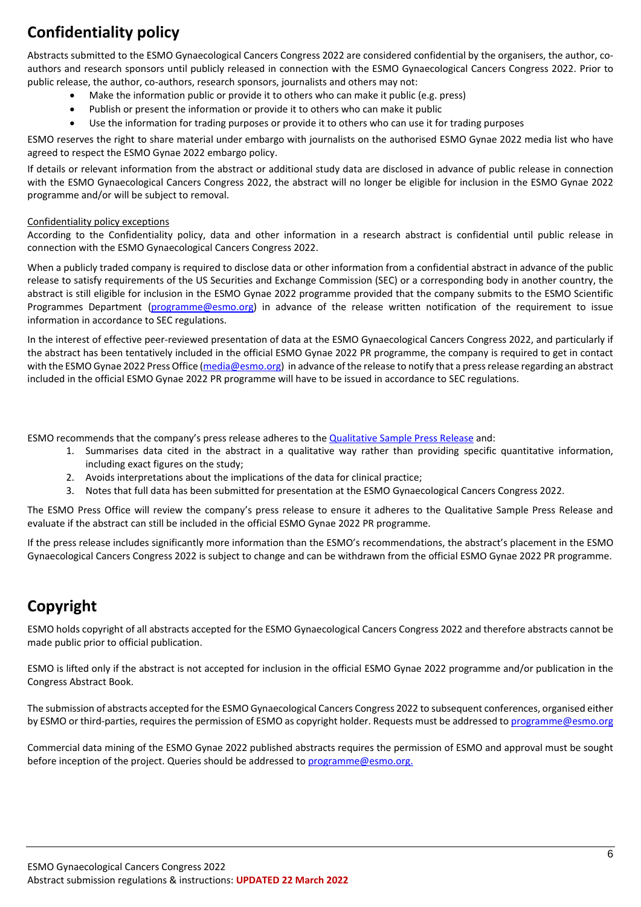# **Confidentiality policy**

Abstracts submitted to the ESMO Gynaecological Cancers Congress 2022 are considered confidential by the organisers, the author, coauthors and research sponsors until publicly released in connection with the ESMO Gynaecological Cancers Congress 2022. Prior to public release, the author, co-authors, research sponsors, journalists and others may not:

- Make the information public or provide it to others who can make it public (e.g. press)
- Publish or present the information or provide it to others who can make it public
- Use the information for trading purposes or provide it to others who can use it for trading purposes

ESMO reserves the right to share material under embargo with journalists on the authorised ESMO Gynae 2022 media list who have agreed to respect the ESMO Gynae 2022 embargo policy.

If details or relevant information from the abstract or additional study data are disclosed in advance of public release in connection with the ESMO Gynaecological Cancers Congress 2022, the abstract will no longer be eligible for inclusion in the ESMO Gynae 2022 programme and/or will be subject to removal.

#### Confidentiality policy exceptions

According to the Confidentiality policy, data and other information in a research abstract is confidential until public release in connection with the ESMO Gynaecological Cancers Congress 2022.

When a publicly traded company is required to disclose data or other information from a confidential abstract in advance of the public release to satisfy requirements of the US Securities and Exchange Commission (SEC) or a corresponding body in another country, the abstract is still eligible for inclusion in the ESMO Gynae 2022 programme provided that the company submits to the ESMO Scientific Programmes Department [\(programme@esmo.org\)](mailto:programme@esmo.org) in advance of the release written notification of the requirement to issue information in accordance to SEC regulations.

In the interest of effective peer-reviewed presentation of data at the ESMO Gynaecological Cancers Congress 2022, and particularly if the abstract has been tentatively included in the official ESMO Gynae 2022 PR programme, the company is required to get in contact with the ESMO Gynae 2022 Press Office [\(media@esmo.org\)](mailto:media@esmo.org) in advance of the release to notify that a press release regarding an abstract included in the official ESMO Gynae 2022 PR programme will have to be issued in accordance to SEC regulations.

ESMO recommends that the company's press release adheres to the [Qualitative Sample Press Release](https://www.esmo.org/content/download/102920/1817543/1/Sample-QualitativePR.pdf) and:

- 1. Summarises data cited in the abstract in a qualitative way rather than providing specific quantitative information, including exact figures on the study;
- 2. Avoids interpretations about the implications of the data for clinical practice;
- 3. Notes that full data has been submitted for presentation at the ESMO Gynaecological Cancers Congress 2022.

The ESMO Press Office will review the company's press release to ensure it adheres to the Qualitative Sample Press Release and evaluate if the abstract can still be included in the official ESMO Gynae 2022 PR programme.

If the press release includes significantly more information than the ESMO's recommendations, the abstract's placement in the ESMO Gynaecological Cancers Congress 2022 is subject to change and can be withdrawn from the official ESMO Gynae 2022 PR programme.

### **Copyright**

ESMO holds copyright of all abstracts accepted for the ESMO Gynaecological Cancers Congress 2022 and therefore abstracts cannot be made public prior to official publication.

ESMO is lifted only if the abstract is not accepted for inclusion in the official ESMO Gynae 2022 programme and/or publication in the Congress Abstract Book.

The submission of abstracts accepted for the ESMO Gynaecological Cancers Congress 2022 to subsequent conferences, organised either by ESMO or third-parties, requires the permission of ESMO as copyright holder. Requests must be addressed to [programme@esmo.org](mailto:programme@esmo.org)

Commercial data mining of the ESMO Gynae 2022 published abstracts requires the permission of ESMO and approval must be sought before inception of the project. Queries should be addressed to [programme@esmo.org.](mailto:programme@esmo.org)